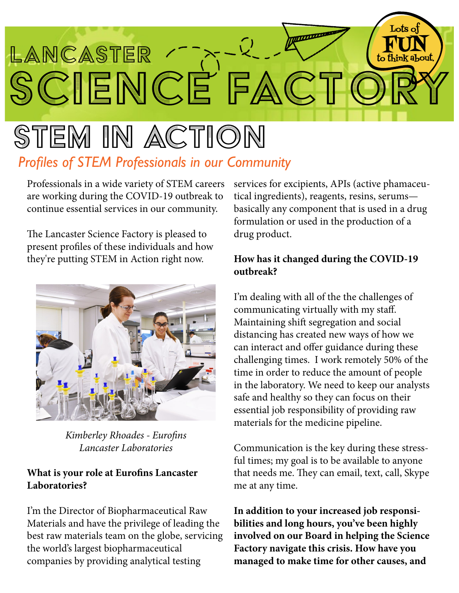

# stem in action *Profiles of STEM Professionals in our Community*

Professionals in a wide variety of STEM careers are working during the COVID-19 outbreak to continue essential services in our community.

The Lancaster Science Factory is pleased to present profiles of these individuals and how they're putting STEM in Action right now.



*Kimberley Rhoades - Eurofins Lancaster Laboratories*

## **What is your role at Eurofins Lancaster Laboratories?**

I'm the Director of Biopharmaceutical Raw Materials and have the privilege of leading the best raw materials team on the globe, servicing the world's largest biopharmaceutical companies by providing analytical testing

services for excipients, APIs (active phamaceutical ingredients), reagents, resins, serums basically any component that is used in a drug formulation or used in the production of a drug product.

### **How has it changed during the COVID-19 outbreak?**

I'm dealing with all of the the challenges of communicating virtually with my staff. Maintaining shift segregation and social distancing has created new ways of how we can interact and offer guidance during these challenging times. I work remotely 50% of the time in order to reduce the amount of people in the laboratory. We need to keep our analysts safe and healthy so they can focus on their essential job responsibility of providing raw materials for the medicine pipeline.

Communication is the key during these stressful times; my goal is to be available to anyone that needs me. They can email, text, call, Skype me at any time.

**In addition to your increased job responsibilities and long hours, you've been highly involved on our Board in helping the Science Factory navigate this crisis. How have you managed to make time for other causes, and**